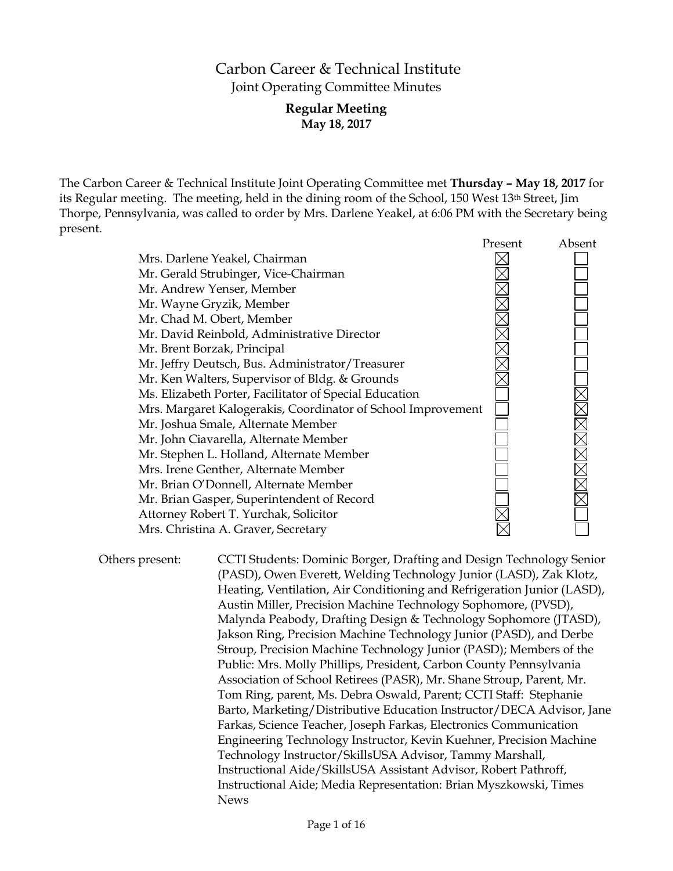# Carbon Career & Technical Institute Joint Operating Committee Minutes

### **Regular Meeting May 18, 2017**

The Carbon Career & Technical Institute Joint Operating Committee met **Thursday – May 18, 2017** for its Regular meeting. The meeting, held in the dining room of the School, 150 West 13th Street, Jim Thorpe, Pennsylvania, was called to order by Mrs. Darlene Yeakel, at 6:06 PM with the Secretary being present.

|                                                              | Present | Absent |
|--------------------------------------------------------------|---------|--------|
| Mrs. Darlene Yeakel, Chairman                                |         |        |
| Mr. Gerald Strubinger, Vice-Chairman                         |         |        |
| Mr. Andrew Yenser, Member                                    |         |        |
| Mr. Wayne Gryzik, Member                                     |         |        |
| Mr. Chad M. Obert, Member                                    |         |        |
| Mr. David Reinbold, Administrative Director                  |         |        |
| Mr. Brent Borzak, Principal                                  |         |        |
| Mr. Jeffry Deutsch, Bus. Administrator/Treasurer             |         |        |
| Mr. Ken Walters, Supervisor of Bldg. & Grounds               |         |        |
| Ms. Elizabeth Porter, Facilitator of Special Education       |         |        |
| Mrs. Margaret Kalogerakis, Coordinator of School Improvement |         |        |
| Mr. Joshua Smale, Alternate Member                           |         |        |
| Mr. John Ciavarella, Alternate Member                        |         |        |
| Mr. Stephen L. Holland, Alternate Member                     |         |        |
| Mrs. Irene Genther, Alternate Member                         |         |        |
| Mr. Brian O'Donnell, Alternate Member                        |         |        |
| Mr. Brian Gasper, Superintendent of Record                   |         |        |
| Attorney Robert T. Yurchak, Solicitor                        |         |        |
| Mrs. Christina A. Graver, Secretary                          |         |        |

Others present: CCTI Students: Dominic Borger, Drafting and Design Technology Senior (PASD), Owen Everett, Welding Technology Junior (LASD), Zak Klotz, Heating, Ventilation, Air Conditioning and Refrigeration Junior (LASD), Austin Miller, Precision Machine Technology Sophomore, (PVSD), Malynda Peabody, Drafting Design & Technology Sophomore (JTASD), Jakson Ring, Precision Machine Technology Junior (PASD), and Derbe Stroup, Precision Machine Technology Junior (PASD); Members of the Public: Mrs. Molly Phillips, President, Carbon County Pennsylvania Association of School Retirees (PASR), Mr. Shane Stroup, Parent, Mr. Tom Ring, parent, Ms. Debra Oswald, Parent; CCTI Staff: Stephanie Barto, Marketing/Distributive Education Instructor/DECA Advisor, Jane Farkas, Science Teacher, Joseph Farkas, Electronics Communication Engineering Technology Instructor, Kevin Kuehner, Precision Machine Technology Instructor/SkillsUSA Advisor, Tammy Marshall, Instructional Aide/SkillsUSA Assistant Advisor, Robert Pathroff, Instructional Aide; Media Representation: Brian Myszkowski, Times News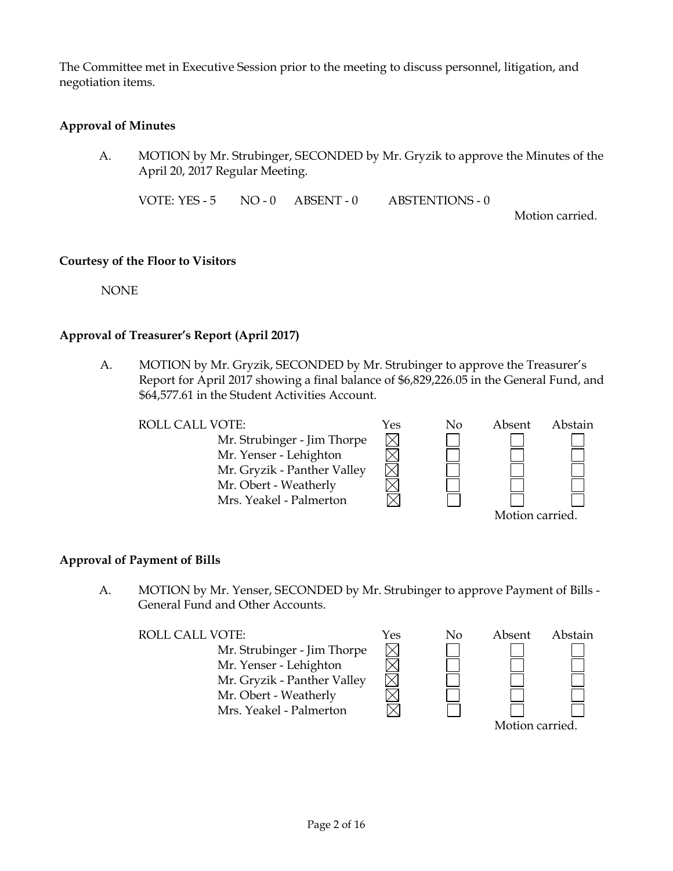The Committee met in Executive Session prior to the meeting to discuss personnel, litigation, and negotiation items.

# **Approval of Minutes**

A. MOTION by Mr. Strubinger, SECONDED by Mr. Gryzik to approve the Minutes of the April 20, 2017 Regular Meeting.

VOTE: YES - 5 NO - 0 ABSENT - 0 ABSTENTIONS - 0

Motion carried.

#### **Courtesy of the Floor to Visitors**

NONE

# **Approval of Treasurer's Report (April 2017)**

A. MOTION by Mr. Gryzik, SECONDED by Mr. Strubinger to approve the Treasurer's Report for April 2017 showing a final balance of \$6,829,226.05 in the General Fund, and \$64,577.61 in the Student Activities Account.

> $\times$  $\overline{\boxtimes}$

> $\boxtimes$

Mr. Strubinger - Jim Thorpe Mr. Yenser - Lehighton Mr. Gryzik - Panther Valley Mr. Obert - Weatherly Mrs. Yeakel - Palmerton



### **Approval of Payment of Bills**

A. MOTION by Mr. Yenser, SECONDED by Mr. Strubinger to approve Payment of Bills - General Fund and Other Accounts.

Mr. Strubinger - Jim Thorpe Mr. Yenser - Lehighton Mr. Gryzik - Panther Valley Mr. Obert - Weatherly Mrs. Yeakel - Palmerton

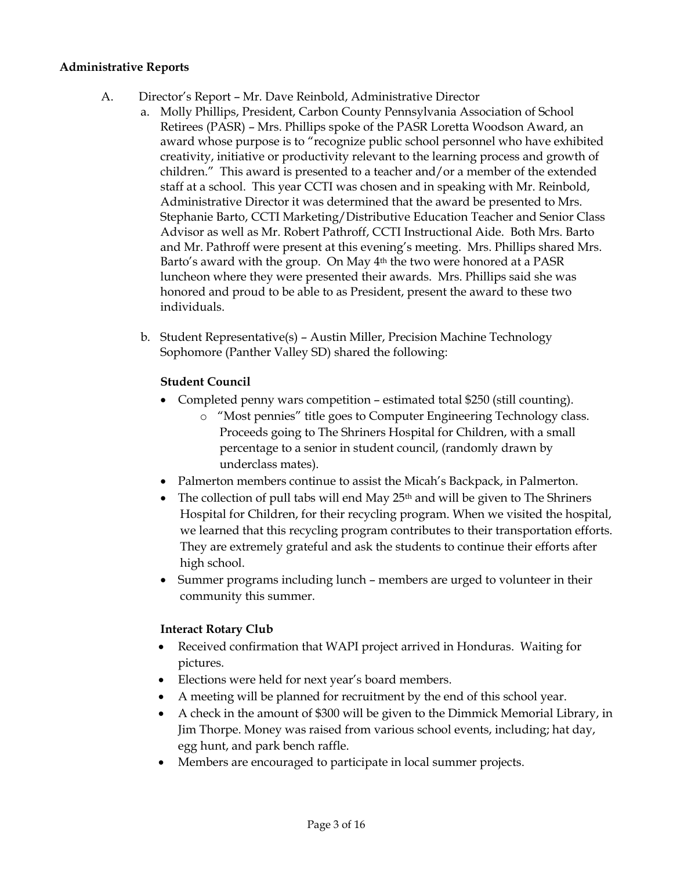### **Administrative Reports**

- A. Director's Report Mr. Dave Reinbold, Administrative Director
	- a. Molly Phillips, President, Carbon County Pennsylvania Association of School Retirees (PASR) – Mrs. Phillips spoke of the PASR Loretta Woodson Award, an award whose purpose is to "recognize public school personnel who have exhibited creativity, initiative or productivity relevant to the learning process and growth of children." This award is presented to a teacher and/or a member of the extended staff at a school. This year CCTI was chosen and in speaking with Mr. Reinbold, Administrative Director it was determined that the award be presented to Mrs. Stephanie Barto, CCTI Marketing/Distributive Education Teacher and Senior Class Advisor as well as Mr. Robert Pathroff, CCTI Instructional Aide. Both Mrs. Barto and Mr. Pathroff were present at this evening's meeting. Mrs. Phillips shared Mrs. Barto's award with the group. On May 4th the two were honored at a PASR luncheon where they were presented their awards. Mrs. Phillips said she was honored and proud to be able to as President, present the award to these two individuals.
	- b. Student Representative(s) Austin Miller, Precision Machine Technology Sophomore (Panther Valley SD) shared the following:

# **Student Council**

- Completed penny wars competition estimated total \$250 (still counting).
	- o "Most pennies" title goes to Computer Engineering Technology class. Proceeds going to The Shriners Hospital for Children, with a small percentage to a senior in student council, (randomly drawn by underclass mates).
- Palmerton members continue to assist the Micah's Backpack, in Palmerton.
- $\bullet$  The collection of pull tabs will end May 25<sup>th</sup> and will be given to The Shriners Hospital for Children, for their recycling program. When we visited the hospital, we learned that this recycling program contributes to their transportation efforts. They are extremely grateful and ask the students to continue their efforts after high school.
- Summer programs including lunch members are urged to volunteer in their community this summer.

# **Interact Rotary Club**

- Received confirmation that WAPI project arrived in Honduras. Waiting for pictures.
- Elections were held for next year's board members.
- A meeting will be planned for recruitment by the end of this school year.
- A check in the amount of \$300 will be given to the Dimmick Memorial Library, in Jim Thorpe. Money was raised from various school events, including; hat day, egg hunt, and park bench raffle.
- Members are encouraged to participate in local summer projects.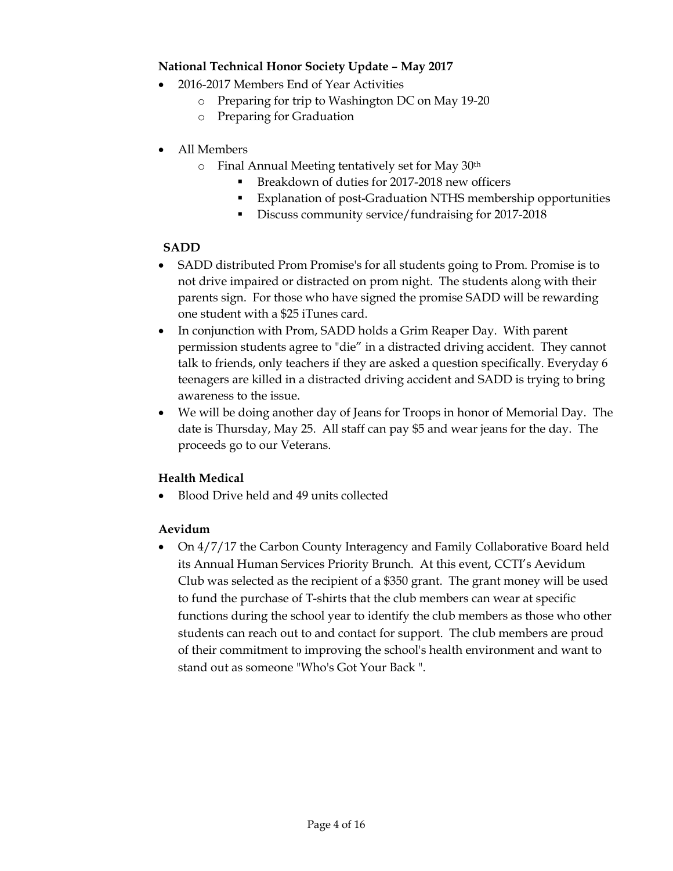# **National Technical Honor Society Update – May 2017**

- 2016-2017 Members End of Year Activities
	- o Preparing for trip to Washington DC on May 19-20
	- o Preparing for Graduation
- All Members
	- o Final Annual Meeting tentatively set for May 30th
		- Breakdown of duties for 2017-2018 new officers
		- Explanation of post-Graduation NTHS membership opportunities
		- Discuss community service/fundraising for 2017-2018

# **SADD**

- SADD distributed Prom Promise's for all students going to Prom. Promise is to not drive impaired or distracted on prom night. The students along with their parents sign. For those who have signed the promise SADD will be rewarding one student with a \$25 iTunes card.
- In conjunction with Prom, SADD holds a Grim Reaper Day. With parent permission students agree to "die" in a distracted driving accident. They cannot talk to friends, only teachers if they are asked a question specifically. Everyday 6 teenagers are killed in a distracted driving accident and SADD is trying to bring awareness to the issue.
- We will be doing another day of Jeans for Troops in honor of Memorial Day. The date is Thursday, May 25. All staff can pay \$5 and wear jeans for the day. The proceeds go to our Veterans.

# **Health Medical**

Blood Drive held and 49 units collected

# **Aevidum**

• On 4/7/17 the Carbon County Interagency and Family Collaborative Board held its Annual Human Services Priority Brunch. At this event, CCTI's Aevidum Club was selected as the recipient of a \$350 grant. The grant money will be used to fund the purchase of T-shirts that the club members can wear at specific functions during the school year to identify the club members as those who other students can reach out to and contact for support. The club members are proud of their commitment to improving the school's health environment and want to stand out as someone "Who's Got Your Back ".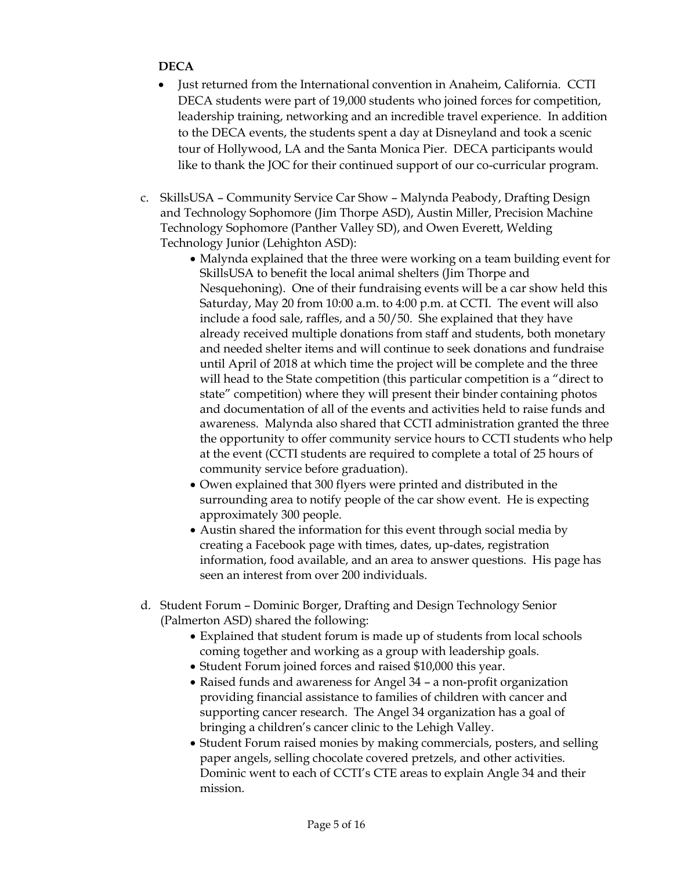# **DECA**

- Just returned from the International convention in Anaheim, California. CCTI DECA students were part of 19,000 students who joined forces for competition, leadership training, networking and an incredible travel experience. In addition to the DECA events, the students spent a day at Disneyland and took a scenic tour of Hollywood, LA and the Santa Monica Pier. DECA participants would like to thank the JOC for their continued support of our co-curricular program.
- c. SkillsUSA Community Service Car Show Malynda Peabody, Drafting Design and Technology Sophomore (Jim Thorpe ASD), Austin Miller, Precision Machine Technology Sophomore (Panther Valley SD), and Owen Everett, Welding Technology Junior (Lehighton ASD):
	- Malynda explained that the three were working on a team building event for SkillsUSA to benefit the local animal shelters (Jim Thorpe and Nesquehoning). One of their fundraising events will be a car show held this Saturday, May 20 from 10:00 a.m. to 4:00 p.m. at CCTI. The event will also include a food sale, raffles, and a 50/50. She explained that they have already received multiple donations from staff and students, both monetary and needed shelter items and will continue to seek donations and fundraise until April of 2018 at which time the project will be complete and the three will head to the State competition (this particular competition is a "direct to state" competition) where they will present their binder containing photos and documentation of all of the events and activities held to raise funds and awareness. Malynda also shared that CCTI administration granted the three the opportunity to offer community service hours to CCTI students who help at the event (CCTI students are required to complete a total of 25 hours of community service before graduation).
	- Owen explained that 300 flyers were printed and distributed in the surrounding area to notify people of the car show event. He is expecting approximately 300 people.
	- Austin shared the information for this event through social media by creating a Facebook page with times, dates, up-dates, registration information, food available, and an area to answer questions. His page has seen an interest from over 200 individuals.
- d. Student Forum Dominic Borger, Drafting and Design Technology Senior (Palmerton ASD) shared the following:
	- Explained that student forum is made up of students from local schools coming together and working as a group with leadership goals.
	- Student Forum joined forces and raised \$10,000 this year.
	- Raised funds and awareness for Angel 34 a non-profit organization providing financial assistance to families of children with cancer and supporting cancer research. The Angel 34 organization has a goal of bringing a children's cancer clinic to the Lehigh Valley.
	- Student Forum raised monies by making commercials, posters, and selling paper angels, selling chocolate covered pretzels, and other activities. Dominic went to each of CCTI's CTE areas to explain Angle 34 and their mission.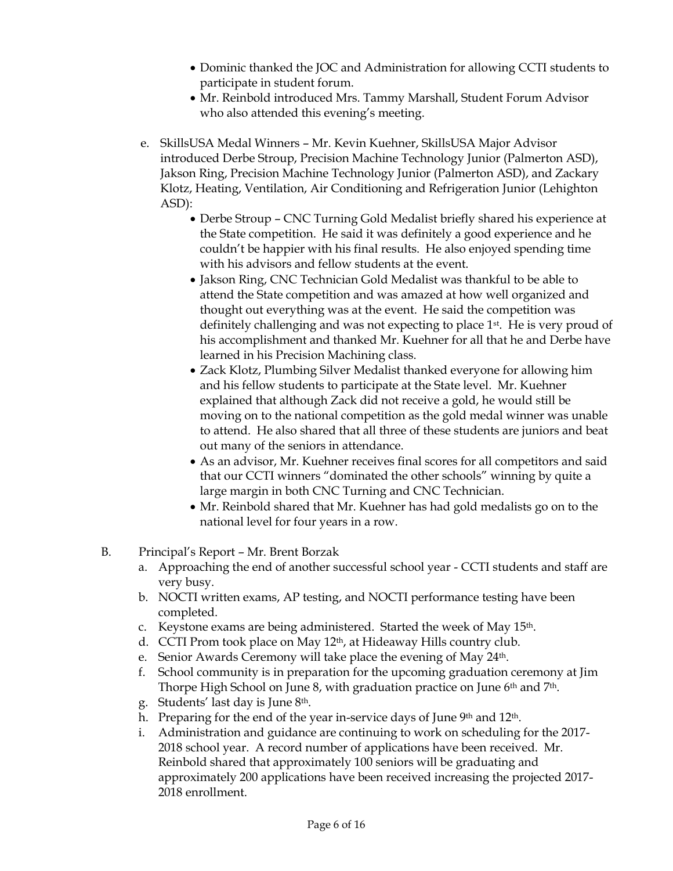- Dominic thanked the JOC and Administration for allowing CCTI students to participate in student forum.
- Mr. Reinbold introduced Mrs. Tammy Marshall, Student Forum Advisor who also attended this evening's meeting.
- e. SkillsUSA Medal Winners Mr. Kevin Kuehner, SkillsUSA Major Advisor introduced Derbe Stroup, Precision Machine Technology Junior (Palmerton ASD), Jakson Ring, Precision Machine Technology Junior (Palmerton ASD), and Zackary Klotz, Heating, Ventilation, Air Conditioning and Refrigeration Junior (Lehighton ASD):
	- Derbe Stroup CNC Turning Gold Medalist briefly shared his experience at the State competition. He said it was definitely a good experience and he couldn't be happier with his final results. He also enjoyed spending time with his advisors and fellow students at the event.
	- Jakson Ring, CNC Technician Gold Medalist was thankful to be able to attend the State competition and was amazed at how well organized and thought out everything was at the event. He said the competition was definitely challenging and was not expecting to place 1st. He is very proud of his accomplishment and thanked Mr. Kuehner for all that he and Derbe have learned in his Precision Machining class.
	- Zack Klotz, Plumbing Silver Medalist thanked everyone for allowing him and his fellow students to participate at the State level. Mr. Kuehner explained that although Zack did not receive a gold, he would still be moving on to the national competition as the gold medal winner was unable to attend. He also shared that all three of these students are juniors and beat out many of the seniors in attendance.
	- As an advisor, Mr. Kuehner receives final scores for all competitors and said that our CCTI winners "dominated the other schools" winning by quite a large margin in both CNC Turning and CNC Technician.
	- Mr. Reinbold shared that Mr. Kuehner has had gold medalists go on to the national level for four years in a row.
- B. Principal's Report Mr. Brent Borzak
	- a. Approaching the end of another successful school year CCTI students and staff are very busy.
	- b. NOCTI written exams, AP testing, and NOCTI performance testing have been completed.
	- c. Keystone exams are being administered. Started the week of May 15th.
	- d. CCTI Prom took place on May 12th, at Hideaway Hills country club.
	- e. Senior Awards Ceremony will take place the evening of May 24<sup>th</sup>.
	- f. School community is in preparation for the upcoming graduation ceremony at Jim Thorpe High School on June 8, with graduation practice on June 6<sup>th</sup> and 7<sup>th</sup>.
	- g. Students' last day is June 8th.
	- h. Preparing for the end of the year in-service days of June 9<sup>th</sup> and 12<sup>th</sup>.
	- i. Administration and guidance are continuing to work on scheduling for the 2017- 2018 school year. A record number of applications have been received. Mr. Reinbold shared that approximately 100 seniors will be graduating and approximately 200 applications have been received increasing the projected 2017- 2018 enrollment.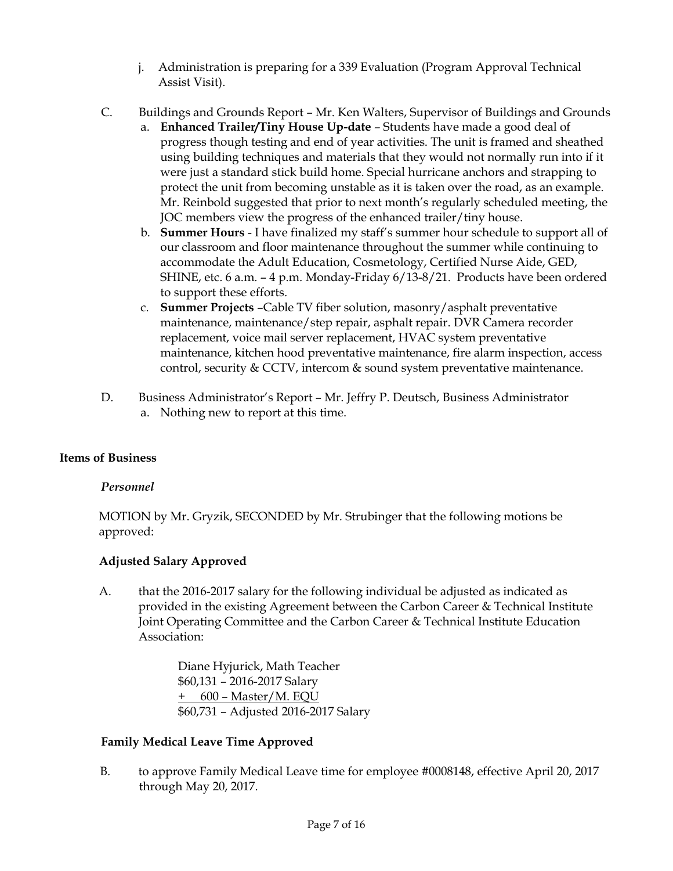- j. Administration is preparing for a 339 Evaluation (Program Approval Technical Assist Visit).
- C. Buildings and Grounds Report Mr. Ken Walters, Supervisor of Buildings and Grounds
	- a. **Enhanced Trailer/Tiny House Up-date** Students have made a good deal of progress though testing and end of year activities. The unit is framed and sheathed using building techniques and materials that they would not normally run into if it were just a standard stick build home. Special hurricane anchors and strapping to protect the unit from becoming unstable as it is taken over the road, as an example. Mr. Reinbold suggested that prior to next month's regularly scheduled meeting, the JOC members view the progress of the enhanced trailer/tiny house.
	- b. **Summer Hours** I have finalized my staff's summer hour schedule to support all of our classroom and floor maintenance throughout the summer while continuing to accommodate the Adult Education, Cosmetology, Certified Nurse Aide, GED, SHINE, etc. 6 a.m. – 4 p.m. Monday-Friday 6/13-8/21. Products have been ordered to support these efforts.
	- c. **Summer Projects** –Cable TV fiber solution, masonry/asphalt preventative maintenance, maintenance/step repair, asphalt repair. DVR Camera recorder replacement, voice mail server replacement, HVAC system preventative maintenance, kitchen hood preventative maintenance, fire alarm inspection, access control, security & CCTV, intercom & sound system preventative maintenance.
- D. Business Administrator's Report Mr. Jeffry P. Deutsch, Business Administrator a. Nothing new to report at this time.

# **Items of Business**

### *Personnel*

MOTION by Mr. Gryzik, SECONDED by Mr. Strubinger that the following motions be approved:

# **Adjusted Salary Approved**

A. that the 2016-2017 salary for the following individual be adjusted as indicated as provided in the existing Agreement between the Carbon Career & Technical Institute Joint Operating Committee and the Carbon Career & Technical Institute Education Association:

> Diane Hyjurick, Math Teacher \$60,131 – 2016-2017 Salary + 600 – Master/M. EQU \$60,731 – Adjusted 2016-2017 Salary

# **Family Medical Leave Time Approved**

B. to approve Family Medical Leave time for employee #0008148, effective April 20, 2017 through May 20, 2017.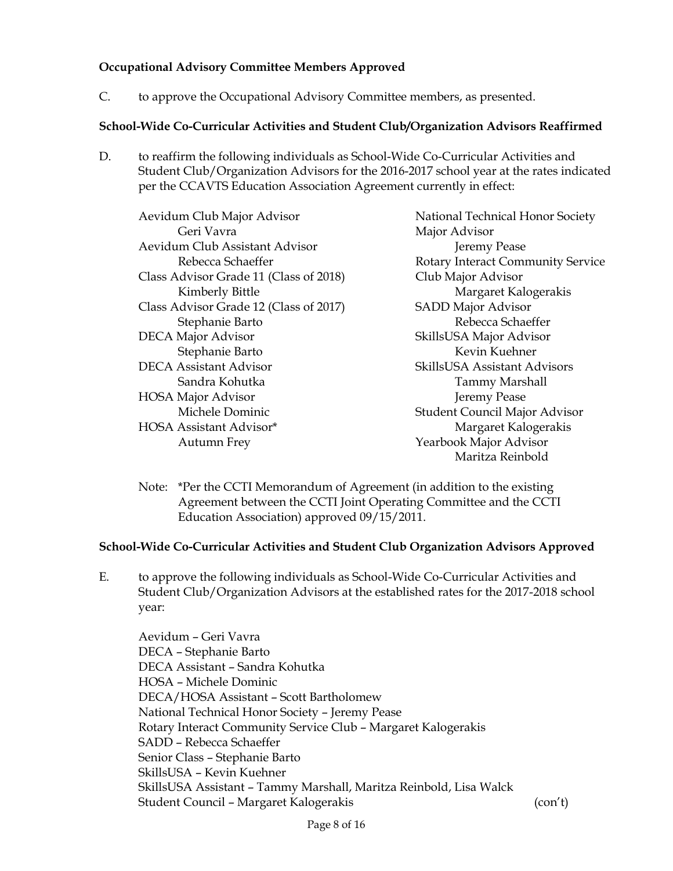# **Occupational Advisory Committee Members Approved**

C. to approve the Occupational Advisory Committee members, as presented.

### **School-Wide Co-Curricular Activities and Student Club/Organization Advisors Reaffirmed**

D. to reaffirm the following individuals as School-Wide Co-Curricular Activities and Student Club/Organization Advisors for the 2016-2017 school year at the rates indicated per the CCAVTS Education Association Agreement currently in effect:

| Aevidum Club Major Advisor             | National Technical Honor Society         |
|----------------------------------------|------------------------------------------|
| Geri Vavra                             | Major Advisor                            |
| Aevidum Club Assistant Advisor         | Jeremy Pease                             |
| Rebecca Schaeffer                      | <b>Rotary Interact Community Service</b> |
| Class Advisor Grade 11 (Class of 2018) | Club Major Advisor                       |
| Kimberly Bittle                        | Margaret Kalogerakis                     |
| Class Advisor Grade 12 (Class of 2017) | <b>SADD Major Advisor</b>                |
| Stephanie Barto                        | Rebecca Schaeffer                        |
| <b>DECA Major Advisor</b>              | SkillsUSA Major Advisor                  |
| Stephanie Barto                        | Kevin Kuehner                            |
| <b>DECA Assistant Advisor</b>          | SkillsUSA Assistant Advisors             |
| Sandra Kohutka                         | <b>Tammy Marshall</b>                    |
| <b>HOSA Major Advisor</b>              | Jeremy Pease                             |
| Michele Dominic                        | Student Council Major Advisor            |
| HOSA Assistant Advisor*                | Margaret Kalogerakis                     |
| Autumn Frey                            | Yearbook Major Advisor                   |
|                                        | Maritza Reinbold                         |

Note: \*Per the CCTI Memorandum of Agreement (in addition to the existing Agreement between the CCTI Joint Operating Committee and the CCTI Education Association) approved 09/15/2011.

### **School-Wide Co-Curricular Activities and Student Club Organization Advisors Approved**

E. to approve the following individuals as School-Wide Co-Curricular Activities and Student Club/Organization Advisors at the established rates for the 2017-2018 school year:

Aevidum – Geri Vavra DECA – Stephanie Barto DECA Assistant – Sandra Kohutka HOSA – Michele Dominic DECA/HOSA Assistant – Scott Bartholomew National Technical Honor Society – Jeremy Pease Rotary Interact Community Service Club – Margaret Kalogerakis SADD – Rebecca Schaeffer Senior Class – Stephanie Barto SkillsUSA – Kevin Kuehner SkillsUSA Assistant – Tammy Marshall, Maritza Reinbold, Lisa Walck Student Council – Margaret Kalogerakis (con't)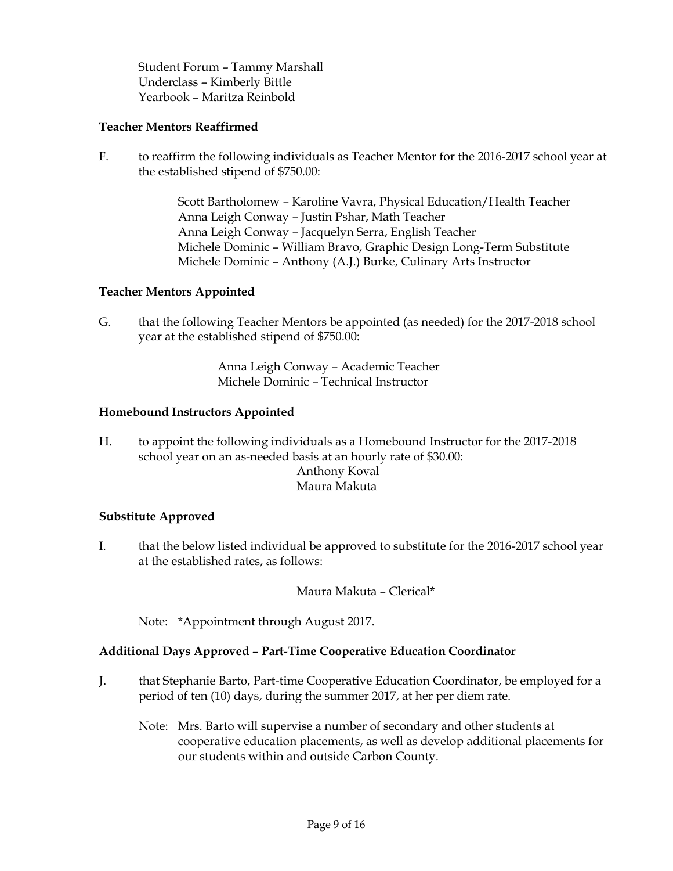Student Forum – Tammy Marshall Underclass – Kimberly Bittle Yearbook – Maritza Reinbold

### **Teacher Mentors Reaffirmed**

F. to reaffirm the following individuals as Teacher Mentor for the 2016-2017 school year at the established stipend of \$750.00:

> Scott Bartholomew – Karoline Vavra, Physical Education/Health Teacher Anna Leigh Conway – Justin Pshar, Math Teacher Anna Leigh Conway – Jacquelyn Serra, English Teacher Michele Dominic – William Bravo, Graphic Design Long-Term Substitute Michele Dominic – Anthony (A.J.) Burke, Culinary Arts Instructor

### **Teacher Mentors Appointed**

G. that the following Teacher Mentors be appointed (as needed) for the 2017-2018 school year at the established stipend of \$750.00:

> Anna Leigh Conway – Academic Teacher Michele Dominic – Technical Instructor

#### **Homebound Instructors Appointed**

H. to appoint the following individuals as a Homebound Instructor for the 2017-2018 school year on an as-needed basis at an hourly rate of \$30.00: Anthony Koval Maura Makuta

### **Substitute Approved**

I. that the below listed individual be approved to substitute for the 2016-2017 school year at the established rates, as follows:

Maura Makuta – Clerical\*

Note: \*Appointment through August 2017.

### **Additional Days Approved – Part-Time Cooperative Education Coordinator**

- J. that Stephanie Barto, Part-time Cooperative Education Coordinator, be employed for a period of ten (10) days, during the summer 2017, at her per diem rate.
	- Note: Mrs. Barto will supervise a number of secondary and other students at cooperative education placements, as well as develop additional placements for our students within and outside Carbon County.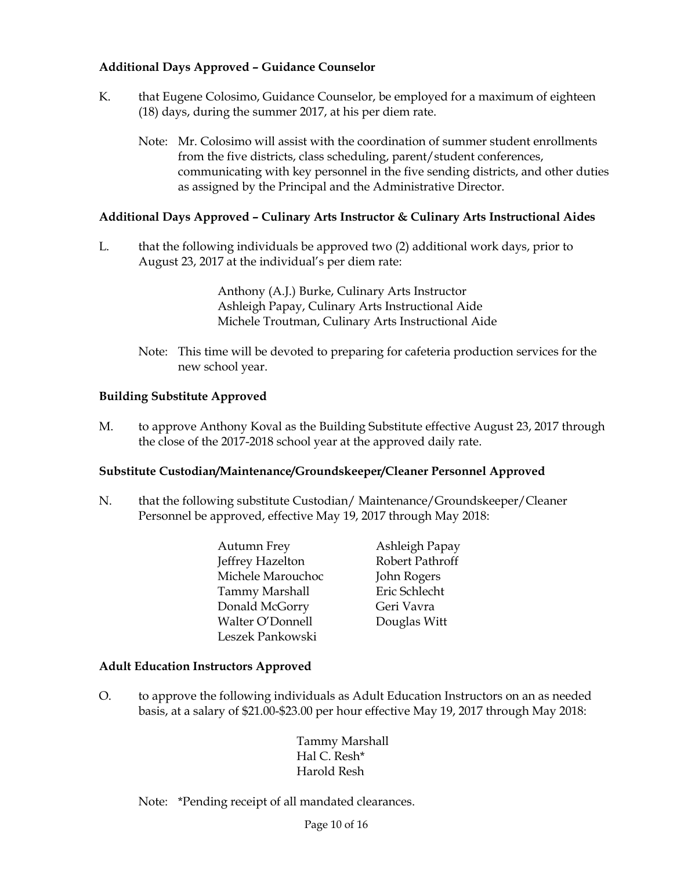# **Additional Days Approved – Guidance Counselor**

- K. that Eugene Colosimo, Guidance Counselor, be employed for a maximum of eighteen (18) days, during the summer 2017, at his per diem rate.
	- Note: Mr. Colosimo will assist with the coordination of summer student enrollments from the five districts, class scheduling, parent/student conferences, communicating with key personnel in the five sending districts, and other duties as assigned by the Principal and the Administrative Director.

### **Additional Days Approved – Culinary Arts Instructor & Culinary Arts Instructional Aides**

L. that the following individuals be approved two (2) additional work days, prior to August 23, 2017 at the individual's per diem rate:

> Anthony (A.J.) Burke, Culinary Arts Instructor Ashleigh Papay, Culinary Arts Instructional Aide Michele Troutman, Culinary Arts Instructional Aide

Note: This time will be devoted to preparing for cafeteria production services for the new school year.

### **Building Substitute Approved**

M. to approve Anthony Koval as the Building Substitute effective August 23, 2017 through the close of the 2017-2018 school year at the approved daily rate.

### **Substitute Custodian/Maintenance/Groundskeeper/Cleaner Personnel Approved**

- N. that the following substitute Custodian/ Maintenance/Groundskeeper/Cleaner Personnel be approved, effective May 19, 2017 through May 2018:
	- Autumn Frey Ashleigh Papay Jeffrey Hazelton Robert Pathroff Michele Marouchoc John Rogers Tammy Marshall Eric Schlecht Donald McGorry Geri Vavra Walter O'Donnell Douglas Witt Leszek Pankowski
		-

### **Adult Education Instructors Approved**

O. to approve the following individuals as Adult Education Instructors on an as needed basis, at a salary of \$21.00-\$23.00 per hour effective May 19, 2017 through May 2018:

> Tammy Marshall Hal C. Resh\* Harold Resh

Note: \*Pending receipt of all mandated clearances.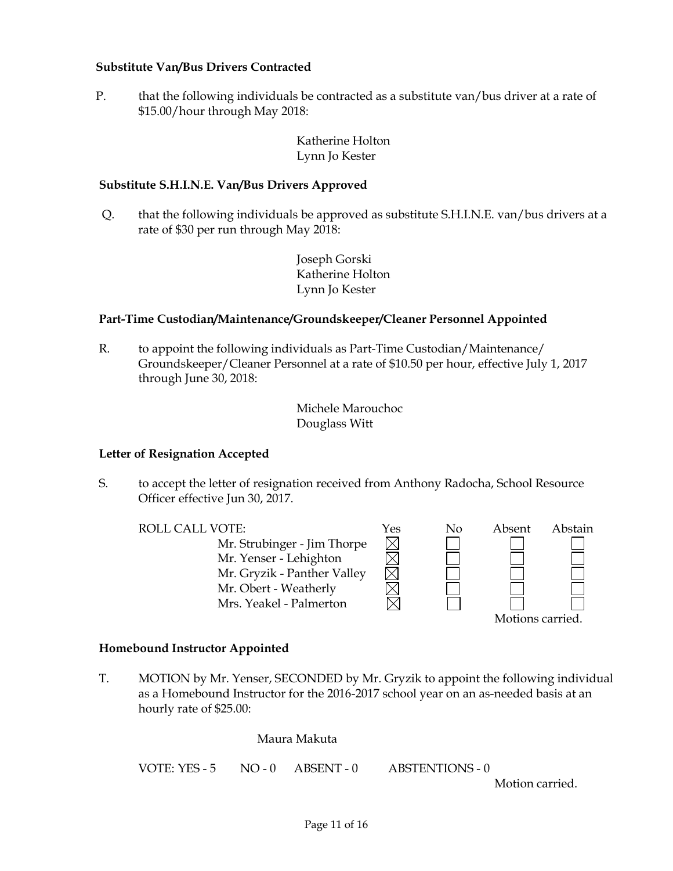### **Substitute Van/Bus Drivers Contracted**

P. that the following individuals be contracted as a substitute van/bus driver at a rate of \$15.00/hour through May 2018:

### Katherine Holton Lynn Jo Kester

#### **Substitute S.H.I.N.E. Van/Bus Drivers Approved**

Q. that the following individuals be approved as substitute S.H.I.N.E. van/bus drivers at a rate of \$30 per run through May 2018:

> Joseph Gorski Katherine Holton Lynn Jo Kester

#### **Part-Time Custodian/Maintenance/Groundskeeper/Cleaner Personnel Appointed**

R. to appoint the following individuals as Part-Time Custodian/Maintenance/ Groundskeeper/Cleaner Personnel at a rate of \$10.50 per hour, effective July 1, 2017 through June 30, 2018:

> Michele Marouchoc Douglass Witt

#### **Letter of Resignation Accepted**

S. to accept the letter of resignation received from Anthony Radocha, School Resource Officer effective Jun 30, 2017.

| <b>ROLL CALL VOTE:</b>      | Yes | Nο | Absent           | Abstain |
|-----------------------------|-----|----|------------------|---------|
| Mr. Strubinger - Jim Thorpe |     |    |                  |         |
| Mr. Yenser - Lehighton      |     |    |                  |         |
| Mr. Gryzik - Panther Valley |     |    |                  |         |
| Mr. Obert - Weatherly       |     |    |                  |         |
| Mrs. Yeakel - Palmerton     |     |    |                  |         |
|                             |     |    | Motions carried. |         |

**Homebound Instructor Appointed**

T. MOTION by Mr. Yenser, SECONDED by Mr. Gryzik to appoint the following individual as a Homebound Instructor for the 2016-2017 school year on an as-needed basis at an hourly rate of \$25.00:

Maura Makuta

VOTE: YES - 5 NO - 0 ABSENT - 0 ABSTENTIONS - 0

Motion carried.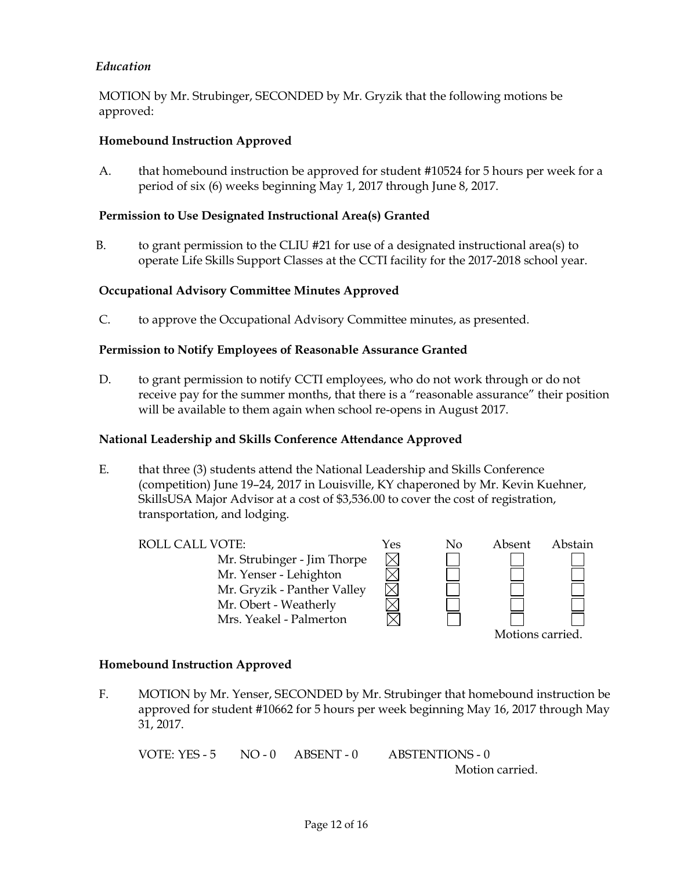### *Education*

MOTION by Mr. Strubinger, SECONDED by Mr. Gryzik that the following motions be approved:

#### **Homebound Instruction Approved**

A. that homebound instruction be approved for student #10524 for 5 hours per week for a period of six (6) weeks beginning May 1, 2017 through June 8, 2017.

#### **Permission to Use Designated Instructional Area(s) Granted**

B. to grant permission to the CLIU  $#21$  for use of a designated instructional area(s) to operate Life Skills Support Classes at the CCTI facility for the 2017-2018 school year.

#### **Occupational Advisory Committee Minutes Approved**

C. to approve the Occupational Advisory Committee minutes, as presented.

#### **Permission to Notify Employees of Reasonable Assurance Granted**

D. to grant permission to notify CCTI employees, who do not work through or do not receive pay for the summer months, that there is a "reasonable assurance" their position will be available to them again when school re-opens in August 2017.

#### **National Leadership and Skills Conference Attendance Approved**

E. that three (3) students attend the National Leadership and Skills Conference (competition) June 19–24, 2017 in Louisville, KY chaperoned by Mr. Kevin Kuehner, SkillsUSA Major Advisor at a cost of \$3,536.00 to cover the cost of registration, transportation, and lodging.

ROLL CALL VOTE:  $Y$ es No Absent Abstain Mr. Strubinger - Jim Thorpe Mr. Yenser - Lehighton Mr. Gryzik - Panther Valley Mr. Obert - Weatherly Mrs. Yeakel - Palmerton



#### **Homebound Instruction Approved**

F. MOTION by Mr. Yenser, SECONDED by Mr. Strubinger that homebound instruction be approved for student #10662 for 5 hours per week beginning May 16, 2017 through May 31, 2017.

```
VOTE: YES - 5 NO - 0 ABSENT - 0 ABSTENTIONS - 0
                                Motion carried.
```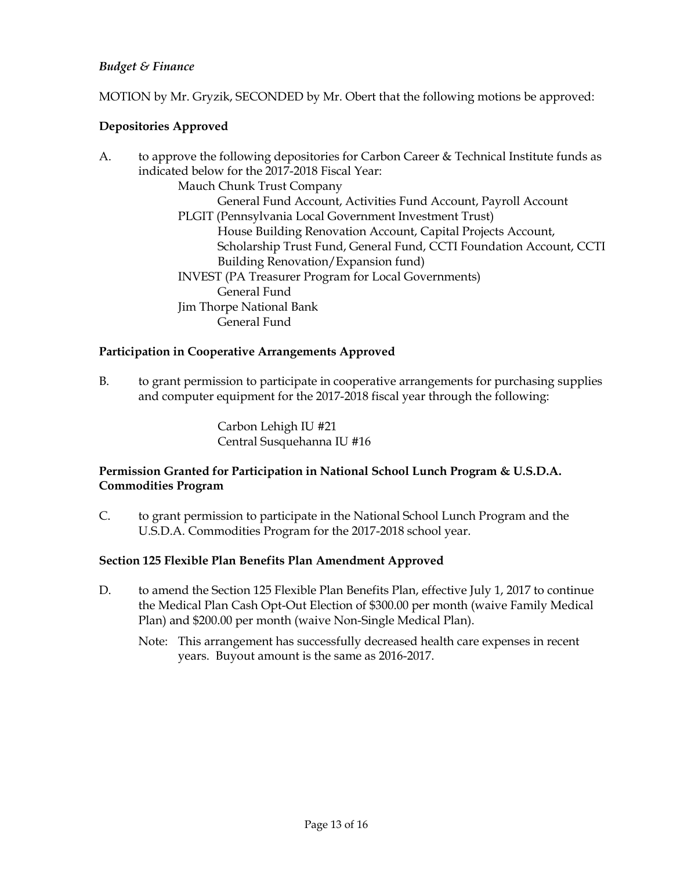# *Budget & Finance*

MOTION by Mr. Gryzik, SECONDED by Mr. Obert that the following motions be approved:

# **Depositories Approved**

| to approve the following depositories for Carbon Career & Technical Institute funds as |
|----------------------------------------------------------------------------------------|
| indicated below for the 2017-2018 Fiscal Year:                                         |
| Mauch Chunk Trust Company                                                              |
| General Fund Account, Activities Fund Account, Payroll Account                         |
| PLGIT (Pennsylvania Local Government Investment Trust)                                 |
| House Building Renovation Account, Capital Projects Account,                           |
| Scholarship Trust Fund, General Fund, CCTI Foundation Account, CCTI                    |
| Building Renovation/Expansion fund)                                                    |
| <b>INVEST</b> (PA Treasurer Program for Local Governments)                             |
| General Fund                                                                           |
| Jim Thorpe National Bank                                                               |
| General Fund                                                                           |
|                                                                                        |

### **Participation in Cooperative Arrangements Approved**

B. to grant permission to participate in cooperative arrangements for purchasing supplies and computer equipment for the 2017-2018 fiscal year through the following:

> Carbon Lehigh IU #21 Central Susquehanna IU #16

### **Permission Granted for Participation in National School Lunch Program & U.S.D.A. Commodities Program**

C. to grant permission to participate in the National School Lunch Program and the U.S.D.A. Commodities Program for the 2017-2018 school year.

### **Section 125 Flexible Plan Benefits Plan Amendment Approved**

- D. to amend the Section 125 Flexible Plan Benefits Plan, effective July 1, 2017 to continue the Medical Plan Cash Opt-Out Election of \$300.00 per month (waive Family Medical Plan) and \$200.00 per month (waive Non-Single Medical Plan).
	- Note: This arrangement has successfully decreased health care expenses in recent years. Buyout amount is the same as 2016-2017.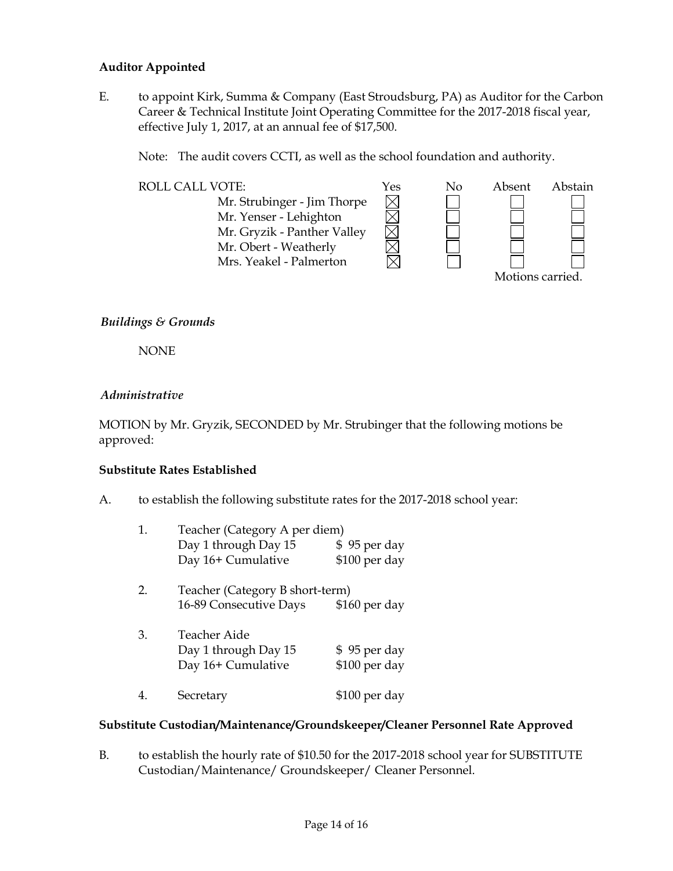#### **Auditor Appointed**

E. to appoint Kirk, Summa & Company (East Stroudsburg, PA) as Auditor for the Carbon Career & Technical Institute Joint Operating Committee for the 2017-2018 fiscal year, effective July 1, 2017, at an annual fee of \$17,500.

Note: The audit covers CCTI, as well as the school foundation and authority.



### *Buildings & Grounds*

NONE

#### *Administrative*

MOTION by Mr. Gryzik, SECONDED by Mr. Strubinger that the following motions be approved:

#### **Substitute Rates Established**

A. to establish the following substitute rates for the 2017-2018 school year:

| 1.                                    | Teacher (Category A per diem) |               |  |  |
|---------------------------------------|-------------------------------|---------------|--|--|
|                                       | Day 1 through Day 15          | \$95 per day  |  |  |
|                                       | Day 16+ Cumulative            | \$100 per day |  |  |
| Teacher (Category B short-term)<br>2. |                               |               |  |  |
|                                       | 16-89 Consecutive Days        | \$160 per day |  |  |
| 3.                                    | Teacher Aide                  |               |  |  |
|                                       | Day 1 through Day 15          | \$95 per day  |  |  |
|                                       | Day 16+ Cumulative            | \$100 per day |  |  |
|                                       | Secretary                     | \$100 per day |  |  |

### **Substitute Custodian/Maintenance/Groundskeeper/Cleaner Personnel Rate Approved**

B. to establish the hourly rate of \$10.50 for the 2017-2018 school year for SUBSTITUTE Custodian/Maintenance/ Groundskeeper/ Cleaner Personnel.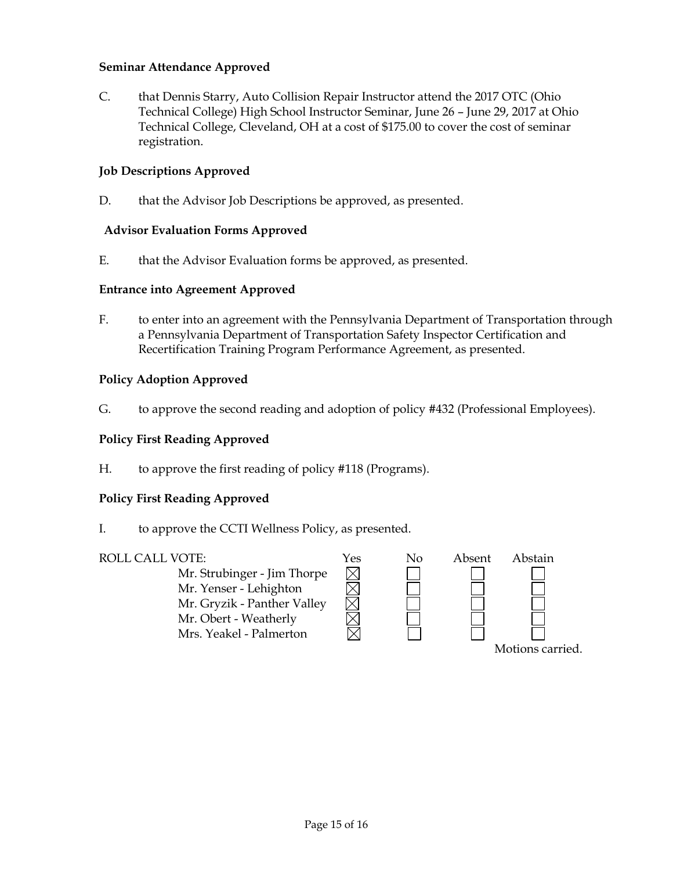### **Seminar Attendance Approved**

C. that Dennis Starry, Auto Collision Repair Instructor attend the 2017 OTC (Ohio Technical College) High School Instructor Seminar, June 26 – June 29, 2017 at Ohio Technical College, Cleveland, OH at a cost of \$175.00 to cover the cost of seminar registration.

#### **Job Descriptions Approved**

D. that the Advisor Job Descriptions be approved, as presented.

#### **Advisor Evaluation Forms Approved**

E. that the Advisor Evaluation forms be approved, as presented.

#### **Entrance into Agreement Approved**

F. to enter into an agreement with the Pennsylvania Department of Transportation through a Pennsylvania Department of Transportation Safety Inspector Certification and Recertification Training Program Performance Agreement, as presented.

#### **Policy Adoption Approved**

G. to approve the second reading and adoption of policy #432 (Professional Employees).

#### **Policy First Reading Approved**

H. to approve the first reading of policy #118 (Programs).

### **Policy First Reading Approved**

I. to approve the CCTI Wellness Policy, as presented.

#### ROLL CALL VOTE:  $Y$ es No Absent Abstain